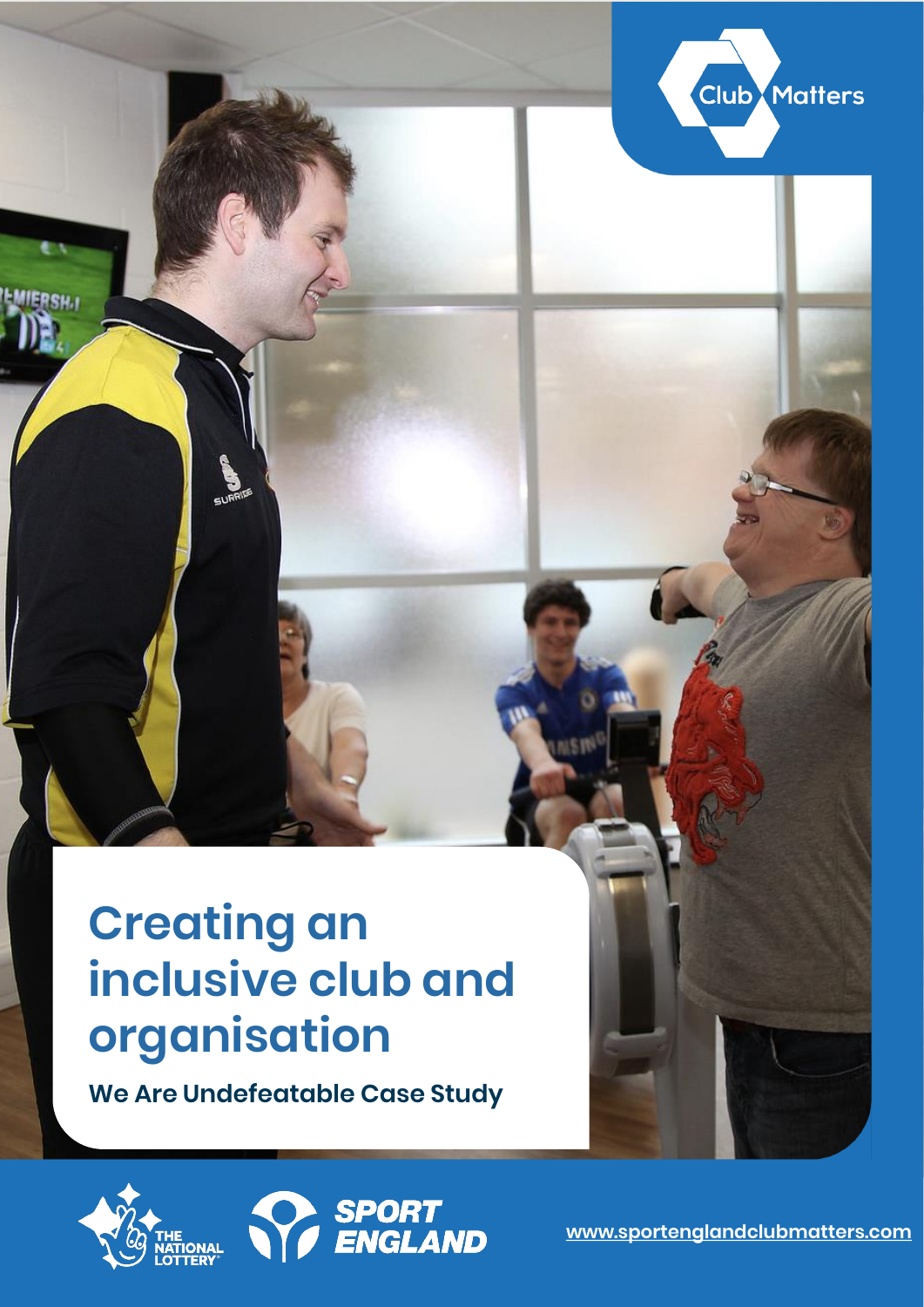### **Creating an inclusive club and organisation**

**We Are Undefeatable Case Study**





**Club Matters**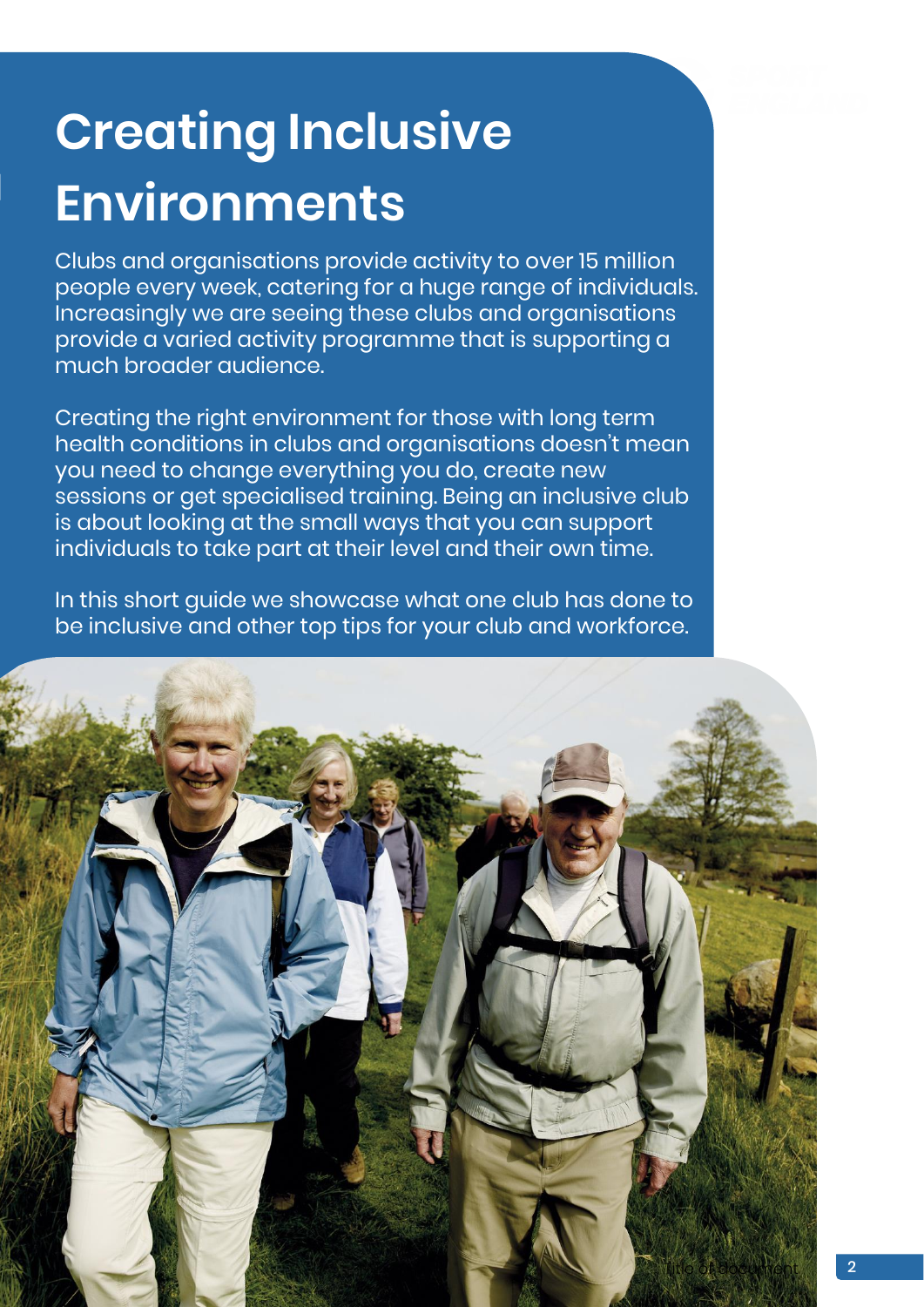## **Creating Inclusive Environments**

Clubs and organisations provide activity to over 15 million people every week, catering for a huge range of individuals. Increasingly we are seeing these clubs and organisations provide a varied activity programme that is supporting a much broader audience.

Creating the right environment for those with long term health conditions in clubs and organisations doesn't mean you need to change everything you do, create new sessions or get specialised training. Being an inclusive club is about looking at the small ways that you can support individuals to take part at their level and their own time.

In this short guide we showcase what one club has done to be inclusive and other top tips for your club and workforce.

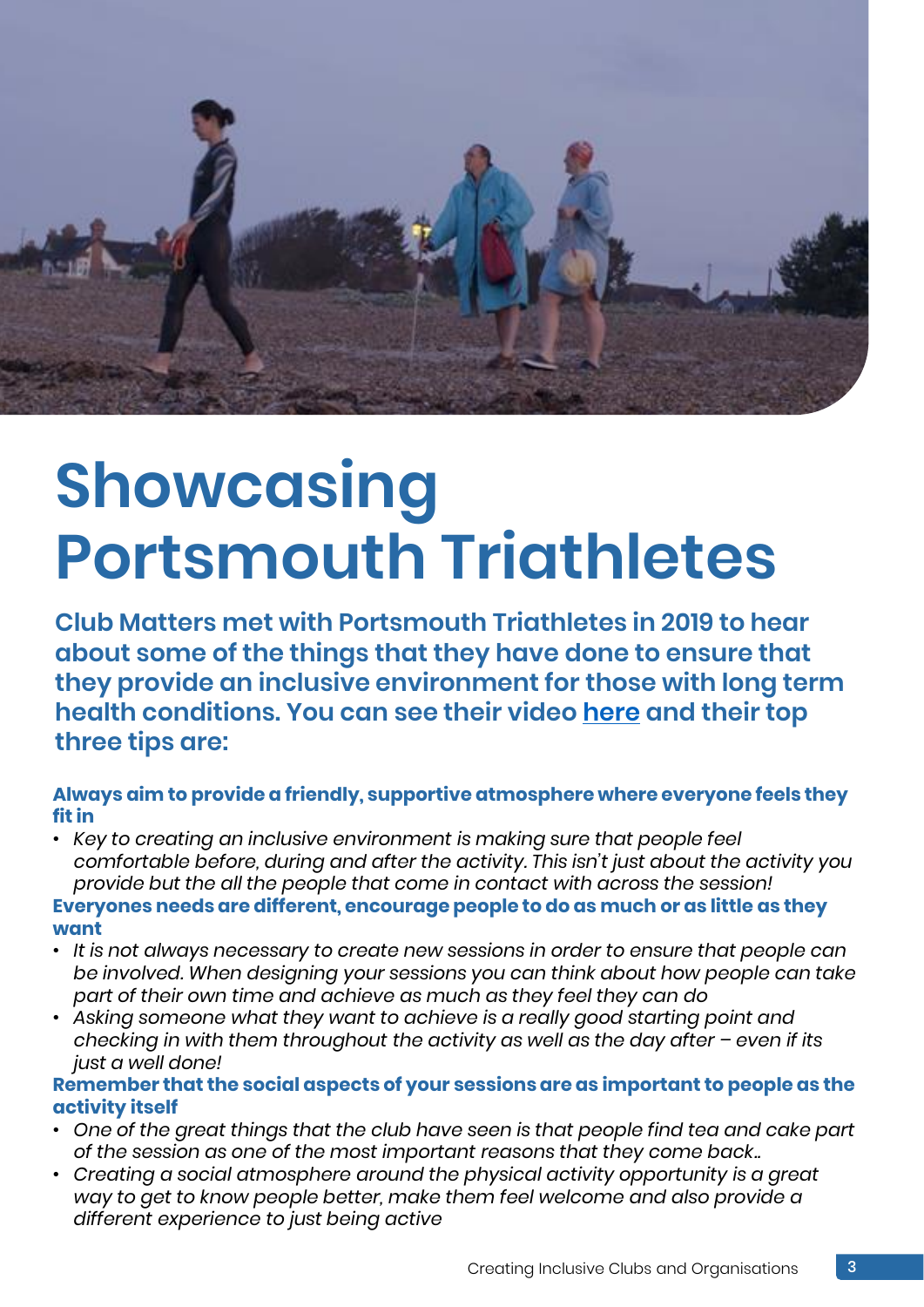

# **Showcasing Portsmouth Triathletes**

**Club Matters met with Portsmouth Triathletes in 2019 to hear about some of the things that they have done to ensure that they provide an inclusive environment for those with long term health conditions. You can see their video [here](https://youtu.be/HO3aW6WO1aI) and their top three tips are:**

**Always aim to provide a friendly, supportive atmosphere where everyone feels they fit in**

- *Key to creating an inclusive environment is making sure that people feel comfortable before, during and after the activity. This isn't just about the activity you provide but the all the people that come in contact with across the session!* **Everyones needs are different, encourage people to do as much or as little as they want**
- *It is not always necessary to create new sessions in order to ensure that people can be involved. When designing your sessions you can think about how people can take part of their own time and achieve as much as they feel they can do*
- *Asking someone what they want to achieve is a really good starting point and checking in with them throughout the activity as well as the day after – even if its just a well done!*

**Remember that the social aspects of your sessions are as important to people as the activity itself**

- *One of the great things that the club have seen is that people find tea and cake part of the session as one of the most important reasons that they come back..*
- *Creating a social atmosphere around the physical activity opportunity is a great way to get to know people better, make them feel welcome and also provide a different experience to just being active*